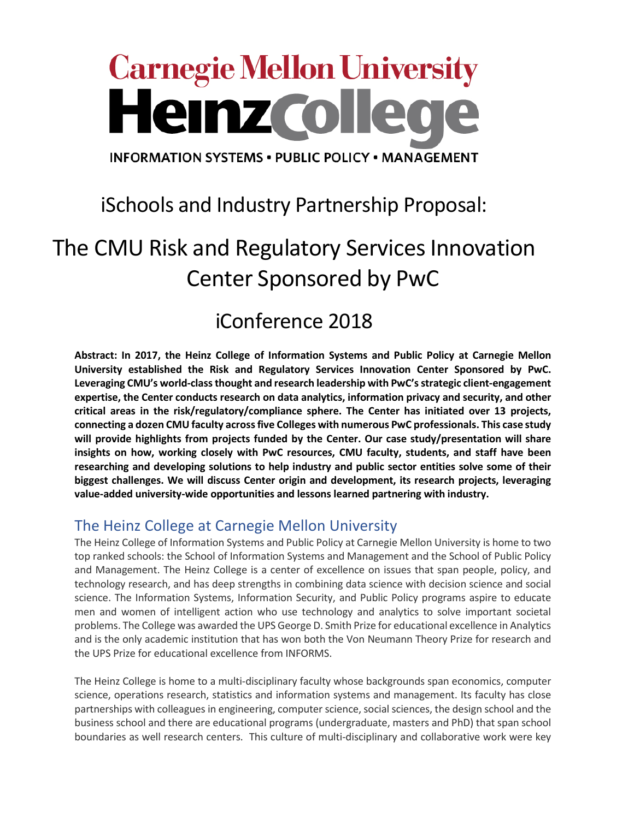# **Carnegie Mellon University Heinzcolle**

**INFORMATION SYSTEMS . PUBLIC POLICY . MANAGEMENT** 

# iSchools and Industry Partnership Proposal:

# The CMU Risk and Regulatory Services Innovation Center Sponsored by PwC

# iConference 2018

**Abstract: In 2017, the Heinz College of Information Systems and Public Policy at Carnegie Mellon University established the Risk and Regulatory Services Innovation Center Sponsored by PwC. Leveraging CMU's world-class thought and research leadership with PwC's strategic client-engagement expertise, the Center conducts research on data analytics, information privacy and security, and other critical areas in the risk/regulatory/compliance sphere. The Center has initiated over 13 projects, connecting a dozen CMU faculty across five Colleges with numerous PwC professionals. This case study will provide highlights from projects funded by the Center. Our case study/presentation will share insights on how, working closely with PwC resources, CMU faculty, students, and staff have been researching and developing solutions to help industry and public sector entities solve some of their biggest challenges. We will discuss Center origin and development, its research projects, leveraging value-added university-wide opportunities and lessons learned partnering with industry.**

# The Heinz College at Carnegie Mellon University

The Heinz College of Information Systems and Public Policy at Carnegie Mellon University is home to two top ranked schools: the School of Information Systems and Management and the School of Public Policy and Management. The Heinz College is a center of excellence on issues that span people, policy, and technology research, and has deep strengths in combining data science with decision science and social science. The Information Systems, Information Security, and Public Policy programs aspire to educate men and women of intelligent action who use technology and analytics to solve important societal problems. The College was awarded the UPS George D. Smith Prize for educational excellence in Analytics and is the only academic institution that has won both the Von Neumann Theory Prize for research and the UPS Prize for educational excellence from INFORMS.

The Heinz College is home to a multi-disciplinary faculty whose backgrounds span economics, computer science, operations research, statistics and information systems and management. Its faculty has close partnerships with colleagues in engineering, computer science, social sciences, the design school and the business school and there are educational programs (undergraduate, masters and PhD) that span school boundaries as well research centers. This culture of multi-disciplinary and collaborative work were key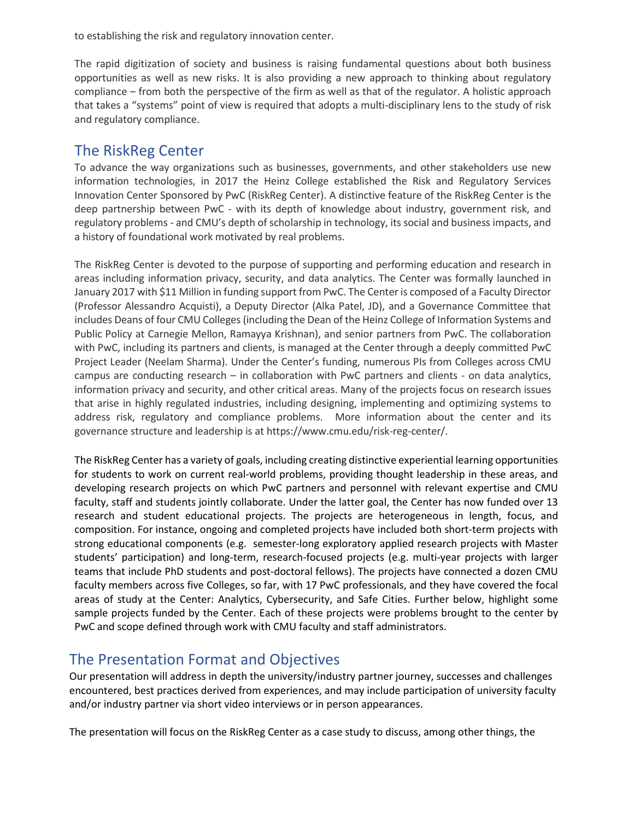to establishing the risk and regulatory innovation center.

The rapid digitization of society and business is raising fundamental questions about both business opportunities as well as new risks. It is also providing a new approach to thinking about regulatory compliance – from both the perspective of the firm as well as that of the regulator. A holistic approach that takes a "systems" point of view is required that adopts a multi-disciplinary lens to the study of risk and regulatory compliance.

## The RiskReg Center

To advance the way organizations such as businesses, governments, and other stakeholders use new information technologies, in 2017 the Heinz College established the Risk and Regulatory Services Innovation Center Sponsored by PwC (RiskReg Center). A distinctive feature of the RiskReg Center is the deep partnership between PwC - with its depth of knowledge about industry, government risk, and regulatory problems - and CMU's depth of scholarship in technology, its social and business impacts, and a history of foundational work motivated by real problems.

The RiskReg Center is devoted to the purpose of supporting and performing education and research in areas including information privacy, security, and data analytics. The Center was formally launched in January 2017 with \$11 Million in funding support from PwC. The Center is composed of a Faculty Director (Professor Alessandro Acquisti), a Deputy Director (Alka Patel, JD), and a Governance Committee that includes Deans of four CMU Colleges (including the Dean of the Heinz College of Information Systems and Public Policy at Carnegie Mellon, Ramayya Krishnan), and senior partners from PwC. The collaboration with PwC, including its partners and clients, is managed at the Center through a deeply committed PwC Project Leader (Neelam Sharma). Under the Center's funding, numerous PIs from Colleges across CMU campus are conducting research – in collaboration with PwC partners and clients - on data analytics, information privacy and security, and other critical areas. Many of the projects focus on research issues that arise in highly regulated industries, including designing, implementing and optimizing systems to address risk, regulatory and compliance problems. More information about the center and its governance structure and leadership is at https://www.cmu.edu/risk-reg-center/.

The RiskReg Center has a variety of goals, including creating distinctive experiential learning opportunities for students to work on current real-world problems, providing thought leadership in these areas, and developing research projects on which PwC partners and personnel with relevant expertise and CMU faculty, staff and students jointly collaborate. Under the latter goal, the Center has now funded over 13 research and student educational projects. The projects are heterogeneous in length, focus, and composition. For instance, ongoing and completed projects have included both short-term projects with strong educational components (e.g. semester-long exploratory applied research projects with Master students' participation) and long-term, research-focused projects (e.g. multi-year projects with larger teams that include PhD students and post-doctoral fellows). The projects have connected a dozen CMU faculty members across five Colleges, so far, with 17 PwC professionals, and they have covered the focal areas of study at the Center: Analytics, Cybersecurity, and Safe Cities. Further below, highlight some sample projects funded by the Center. Each of these projects were problems brought to the center by PwC and scope defined through work with CMU faculty and staff administrators.

## The Presentation Format and Objectives

Our presentation will address in depth the university/industry partner journey, successes and challenges encountered, best practices derived from experiences, and may include participation of university faculty and/or industry partner via short video interviews or in person appearances.

The presentation will focus on the RiskReg Center as a case study to discuss, among other things, the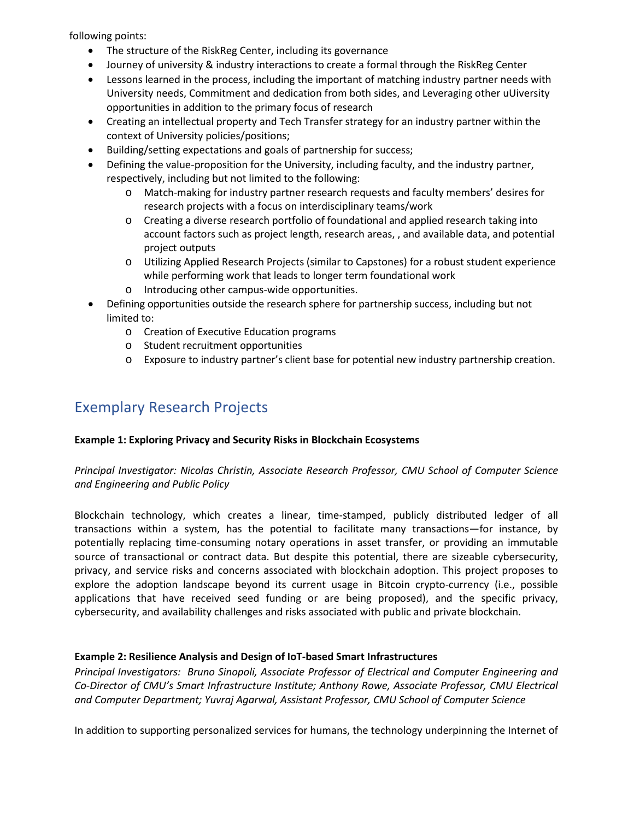following points:

- The structure of the RiskReg Center, including its governance
- Journey of university & industry interactions to create a formal through the RiskReg Center
- Lessons learned in the process, including the important of matching industry partner needs with University needs, Commitment and dedication from both sides, and Leveraging other uUiversity opportunities in addition to the primary focus of research
- Creating an intellectual property and Tech Transfer strategy for an industry partner within the context of University policies/positions;
- Building/setting expectations and goals of partnership for success;
- Defining the value-proposition for the University, including faculty, and the industry partner, respectively, including but not limited to the following:
	- o Match-making for industry partner research requests and faculty members' desires for research projects with a focus on interdisciplinary teams/work
	- o Creating a diverse research portfolio of foundational and applied research taking into account factors such as project length, research areas, , and available data, and potential project outputs
	- o Utilizing Applied Research Projects (similar to Capstones) for a robust student experience while performing work that leads to longer term foundational work
	- o Introducing other campus-wide opportunities.
- Defining opportunities outside the research sphere for partnership success, including but not limited to:
	- o Creation of Executive Education programs
	- o Student recruitment opportunities
	- o Exposure to industry partner's client base for potential new industry partnership creation.

## Exemplary Research Projects

### **Example 1: Exploring Privacy and Security Risks in Blockchain Ecosystems**

### *Principal Investigator: Nicolas Christin, Associate Research Professor, CMU School of Computer Science and Engineering and Public Policy*

Blockchain technology, which creates a linear, time-stamped, publicly distributed ledger of all transactions within a system, has the potential to facilitate many transactions—for instance, by potentially replacing time-consuming notary operations in asset transfer, or providing an immutable source of transactional or contract data. But despite this potential, there are sizeable cybersecurity, privacy, and service risks and concerns associated with blockchain adoption. This project proposes to explore the adoption landscape beyond its current usage in Bitcoin crypto-currency (i.e., possible applications that have received seed funding or are being proposed), and the specific privacy, cybersecurity, and availability challenges and risks associated with public and private blockchain.

### **Example 2: Resilience Analysis and Design of IoT-based Smart Infrastructures**

*Principal Investigators: Bruno Sinopoli, Associate Professor of Electrical and Computer Engineering and Co-Director of CMU's Smart Infrastructure Institute; Anthony Rowe, Associate Professor, CMU Electrical and Computer Department; Yuvraj Agarwal, Assistant Professor, CMU School of Computer Science*

In addition to supporting personalized services for humans, the technology underpinning the Internet of